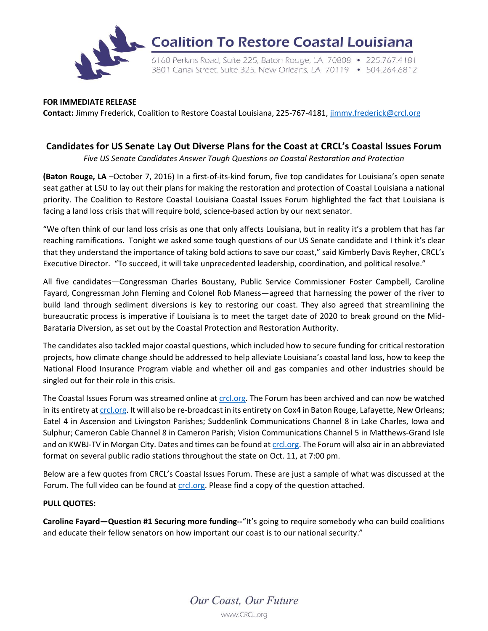

**Coalition To Restore Coastal Louisiana** 

6160 Perkins Road, Suite 225, Baton Rouge, LA 70808 · 225.767.4181 3801 Canal Street, Suite 325, New Orleans, LA 70119 • 504.264.6812

## **FOR IMMEDIATE RELEASE Contact:** Jimmy Frederick, Coalition to Restore Coastal Louisiana, 225-767-4181, [jimmy.frederick@crcl.org](mailto:jimmy.frederick@crcl.org)

## **Candidates for US Senate Lay Out Diverse Plans for the Coast at CRCL's Coastal Issues Forum**

*Five US Senate Candidates Answer Tough Questions on Coastal Restoration and Protection*

**(Baton Rouge, LA** –October 7, 2016) In a first-of-its-kind forum, five top candidates for Louisiana's open senate seat gather at LSU to lay out their plans for making the restoration and protection of Coastal Louisiana a national priority. The Coalition to Restore Coastal Louisiana Coastal Issues Forum highlighted the fact that Louisiana is facing a land loss crisis that will require bold, science-based action by our next senator.

"We often think of our land loss crisis as one that only affects Louisiana, but in reality it's a problem that has far reaching ramifications. Tonight we asked some tough questions of our US Senate candidate and I think it's clear that they understand the importance of taking bold actions to save our coast," said Kimberly Davis Reyher, CRCL's Executive Director. "To succeed, it will take unprecedented leadership, coordination, and political resolve."

All five candidates—Congressman Charles Boustany, Public Service Commissioner Foster Campbell, Caroline Fayard, Congressman John Fleming and Colonel Rob Maness—agreed that harnessing the power of the river to build land through sediment diversions is key to restoring our coast. They also agreed that streamlining the bureaucratic process is imperative if Louisiana is to meet the target date of 2020 to break ground on the Mid-Barataria Diversion, as set out by the Coastal Protection and Restoration Authority.

The candidates also tackled major coastal questions, which included how to secure funding for critical restoration projects, how climate change should be addressed to help alleviate Louisiana's coastal land loss, how to keep the National Flood Insurance Program viable and whether oil and gas companies and other industries should be singled out for their role in this crisis.

The Coastal Issues Forum was streamed online at [crcl.org.](http://crcl.org/programs/restoration-policy/2016-senate-race/watch-live.html) The Forum has been archived and can now be watched in its entirety at [crcl.org.](http://crcl.org/programs/restoration-policy/2016-senate-race/watch-live.html) It will also be re-broadcast in its entirety on Cox4 in Baton Rouge, Lafayette, New Orleans; Eatel 4 in Ascension and Livingston Parishes; Suddenlink Communications Channel 8 in Lake Charles, Iowa and Sulphur; Cameron Cable Channel 8 in Cameron Parish; Vision Communications Channel 5 in Matthews-Grand Isle and on KWBJ-TV in Morgan City. Dates and times can be found a[t crcl.org.](http://crcl.org/programs/restoration-policy/2016-senate-race.html) The Forum will also air in an abbreviated format on several public radio stations throughout the state on Oct. 11, at 7:00 pm.

Below are a few quotes from CRCL's Coastal Issues Forum. These are just a sample of what was discussed at the Forum. The full video can be found a[t crcl.org.](http://crcl.org/programs/restoration-policy/2016-senate-race/watch-live.html) Please find a copy of the question attached.

## **PULL QUOTES:**

**Caroline Fayard—Question #1 Securing more funding--**"It's going to require somebody who can build coalitions and educate their fellow senators on how important our coast is to our national security."

Our Coast, Our Future

www.CRCL.org